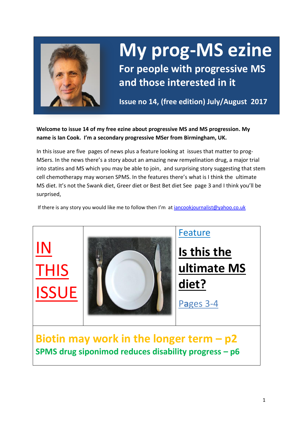

# **My prog-MS ezine**

**For people with progressive MS and those interested in it**

**Issue no 14, (free edition) July/August 2017**

**Welcome to issue 14 of my free ezine about progressive MS and MS progression. My name is Ian Cook. I'm a secondary progressive MSer from Birmingham, UK.** 

In this issue are five pages of news plus a feature looking at issues that matter to prog-MSers. In the news there's a story about an amazing new remyelination drug, a major trial into statins and MS which you may be able to join, and surprising story suggesting that stem cell chemotherapy may worsen SPMS. In the features there's what is I think the ultimate MS diet. It's not the Swank diet, Greer diet or Best Bet diet See page 3 and I think you'll be surprised,

If there is any story you would like me to follow then I'm at  $\frac{1}{2}$  incookjournalist@yahoo.co.uk



**SPMS drug siponimod reduces disability progress – p6**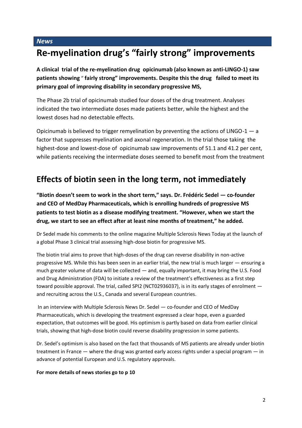### **Re-myelination drug's "fairly strong" improvements**

**A clinical trial of the re-myelination drug opicinumab (also known as anti-LINGO-1) saw patients showing** " **fairly strong" improvements. Despite this the drug failed to meet its primary goal of improving disability in secondary progressive MS,** 

The Phase 2b trial of opicinumab studied four doses of the drug treatment. Analyses indicated the two intermediate doses made patients better, while the highest and the lowest doses had no detectable effects.

Opicinumab is believed to trigger remyelination by preventing the actions of LINGO-1 — a factor that suppresses myelination and axonal regeneration. In the trial those taking the highest-dose and lowest-dose of opicinumab saw improvements of 51.1 and 41.2 per cent, while patients receiving the intermediate doses seemed to benefit most from the treatment

#### **Effects of biotin seen in the long term, not immediately**

**"Biotin doesn't seem to work in the short term," says. Dr. Frédéric Sedel — co-founder and CEO of MedDay Pharmaceuticals, which is enrolling hundreds of progressive MS patients to test biotin as a disease modifying treatment. "However, when we start the drug, we start to see an effect after at least nine months of treatment," he added.**

Dr Sedel made his comments to the online magazine Multiple Sclerosis News Today at the launch of a global Phase 3 clinical trial assessing high-dose biotin for progressive MS.

The biotin trial aims to prove that high-doses of the drug can reverse disability in non-active progressive MS. While this has been seen in an earlier trial, the new trial is much larger — ensuring a much greater volume of data will be collected — and, equally important, it may bring the U.S. Food and Drug Administration (FDA) to initiate a review of the treatment's effectiveness as a first step toward possible approval. The trial, called SPI2 (NCT02936037), is in its early stages of enrolment and recruiting across the U.S., Canada and several European countries.

In an interview with Multiple Sclerosis News Dr. Sedel — co-founder and CEO of MedDay Pharmaceuticals, which is developing the treatment expressed a clear hope, even a guarded expectation, that outcomes will be good. His optimism is partly based on data from earlier clinical trials, showing that high-dose biotin could reverse disability progression in some patients.

Dr. Sedel's optimism is also based on the fact that thousands of MS patients are already under biotin treatment in France — where the drug was granted early access rights under a special program — in advance of potential European and U.S. regulatory approvals.

#### **For more details of news stories go to p 10**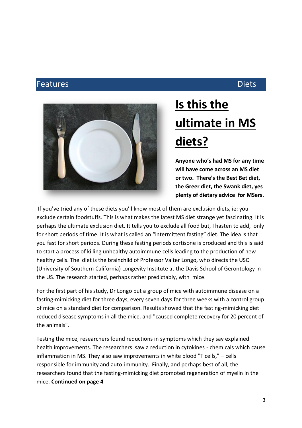#### Features **Diets**



## **Is this the ultimate in MS diets?**

**Anyone who's had MS for any time will have come across an MS diet or two. There's the Best Bet diet, the Greer diet, the Swank diet, yes plenty of dietary advice for MSers.** 

If you've tried any of these diets you'll know most of them are exclusion diets, ie: you exclude certain foodstuffs. This is what makes the latest MS diet strange yet fascinating. It is perhaps the ultimate exclusion diet. It tells you to exclude all food but, I hasten to add, only for short periods of time. It is what is called an "intermittent fasting" diet. The idea is that you fast for short periods. During these fasting periods cortisone is produced and this is said to start a process of killing unhealthy autoimmune cells leading to the production of new healthy cells. The diet is the brainchild of Professor Valter Longo, who directs the USC (University of Southern California) Longevity Institute at the Davis School of Gerontology in the US. The research started, perhaps rather predictably, with mice.

For the first part of his study, Dr Longo put a group of mice with autoimmune disease on a fasting-mimicking diet for three days, every seven days for three weeks with a control group of mice on a standard diet for comparison. Results showed that the fasting-mimicking diet reduced disease symptoms in all the mice, and "caused complete recovery for 20 percent of the animals".

Testing the mice, researchers found reductions in symptoms which they say explained health improvements. The researchers saw a reduction in cytokines - chemicals which cause inflammation in MS. They also saw improvements in white blood "T cells," – cells responsible for immunity and auto-immunity. Finally, and perhaps best of all, the researchers found that the fasting-mimicking diet promoted regeneration of myelin in the mice. **Continued on page 4**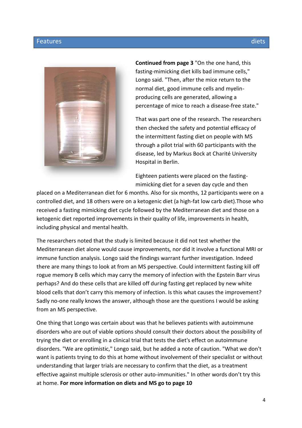#### Features diets and the control of the control of the control of the control of the control of the control of t



**Continued from page 3** "On the one hand, this fasting-mimicking diet kills bad immune cells," Longo said. "Then, after the mice return to the normal diet, good immune cells and myelinproducing cells are generated, allowing a percentage of mice to reach a disease-free state."

That was part one of the research. The researchers then checked the safety and potential efficacy of the intermittent fasting diet on people with MS through a pilot trial with 60 participants with the disease, led by Markus Bock at Charité University Hospital in Berlin.

Eighteen patients were placed on the fastingmimicking diet for a seven day cycle and then

placed on a Mediterranean diet for 6 months. Also for six months, 12 participants were on a controlled diet, and 18 others were on a ketogenic diet (a high-fat low carb diet).Those who received a fasting mimicking diet cycle followed by the Mediterranean diet and those on a ketogenic diet reported improvements in their quality of life, improvements in health, including physical and mental health.

The researchers noted that the study is limited because it did not test whether the Mediterranean diet alone would cause improvements, nor did it involve a functional MRI or immune function analysis. Longo said the findings warrant further investigation. Indeed there are many things to look at from an MS perspective. Could intermittent fasting kill off rogue memory B cells which may carry the memory of infection with the Epstein Barr virus perhaps? And do these cells that are killed off during fasting get replaced by new white blood cells that don't carry this memory of infection. Is this what causes the improvement? Sadly no-one really knows the answer, although those are the questions I would be asking from an MS perspective.

One thing that Longo was certain about was that he believes patients with autoimmune disorders who are out of viable options should consult their doctors about the possibility of trying the diet or enrolling in a clinical trial that tests the diet's effect on autoimmune disorders. "We are optimistic," Longo said, but he added a note of caution. "What we don't want is patients trying to do this at home without involvement of their specialist or without understanding that larger trials are necessary to confirm that the diet, as a treatment effective against multiple sclerosis or other auto-immunities." In other words don't try this at home. **For more information on diets and MS go to page 10**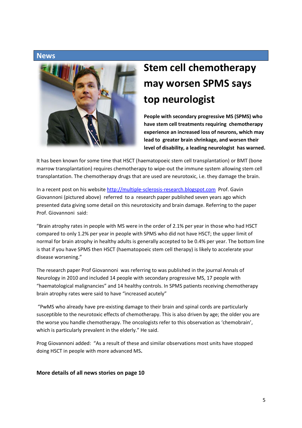

### **Stem cell chemotherapy may worsen SPMS says top neurologist**

**People with secondary progressive MS (SPMS) who have stem cell treatments requiring chemotherapy experience an increased loss of neurons, which may lead to greater brain shrinkage, and worsen their level of disability, a leading neurologist has warned.**

It has been known for some time that HSCT (haematopoeic stem cell transplantation) or BMT (bone marrow transplantation) requires chemotherapy to wipe-out the immune system allowing stem cell transplantation. The chemotherapy drugs that are used are neurotoxic, i.e. they damage the brain.

In a recent post on his website [http://multiple-sclerosis-research.blogspot.com](http://multiple-sclerosis-research.blogspot.com/) Prof. Gavin Giovannoni (pictured above) referred to a research paper published seven years ago which presented data giving some detail on this neurotoxicity and brain damage. Referring to the paper Prof. Giovannoni said:

"Brain atrophy rates in people with MS were in the order of 2.1% per year in those who had HSCT compared to only 1.2% per year in people with SPMS who did not have HSCT; the upper limit of normal for brain atrophy in healthy adults is generally accepted to be 0.4% per year. The bottom line is that if you have SPMS then HSCT (haematopoeic stem cell therapy) is likely to accelerate your disease worsening."

The research paper Prof Giovannoni was referring to was published in the journal Annals of Neurology in 2010 and included 14 people with secondary progressive MS, 17 people with "haematological malignancies" and 14 healthy controls. In SPMS patients receiving chemotherapy brain atrophy rates were said to have "increased acutely"

"PwMS who already have pre-existing damage to their brain and spinal cords are particularly susceptible to the neurotoxic effects of chemotherapy. This is also driven by age; the older you are the worse you handle chemotherapy. The oncologists refer to this observation as 'chemobrain', which is particularly prevalent in the elderly." He said.

Prog Giovannoni added: "As a result of these and similar observations most units have stopped doing HSCT in people with more advanced MS**.**

#### **More details of all news stories on page 10**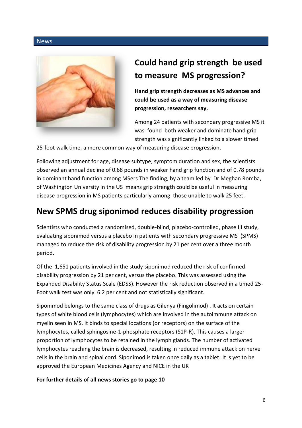

### **Could hand grip strength be used to measure MS progression?**

**Hand grip strength decreases as MS advances and could be used as a way of measuring disease progression, researchers say.**

Among 24 patients with secondary progressive MS it was found both weaker and dominate hand grip strength was significantly linked to a slower timed

25-foot walk time, a more common way of measuring disease progression.

Following adjustment for age, disease subtype, symptom duration and sex, the scientists observed an annual decline of 0.68 pounds in weaker hand grip function and of 0.78 pounds in dominant hand function among MSers The finding, by a team led by Dr Meghan Romba, of Washington University in the US means grip strength could be useful in measuring disease progression in MS patients particularly among those unable to walk 25 feet.

### **New SPMS drug siponimod reduces disability progression**

Scientists who conducted a randomised, double-blind, placebo-controlled, phase III study, evaluating siponimod versus a placebo in patients with secondary progressive MS (SPMS) managed to reduce the risk of disability progression by 21 per cent over a three month period.

Of the 1,651 patients involved in the study siponimod reduced the risk of confirmed disability progression by 21 per cent, versus the placebo. This was assessed using the Expanded Disability Status Scale (EDSS). However the risk reduction observed in a timed 25- Foot walk test was only 6.2 per cent and not statistically significant.

Siponimod belongs to the same class of drugs as Gilenya (Fingolimod) . It acts on certain types of white blood cells (lymphocytes) which are involved in the autoimmune attack on myelin seen in MS. It binds to special locations (or receptors) on the surface of the lymphocytes, called sphingosine-1-phosphate receptors (S1P-R). This causes a larger proportion of lymphocytes to be retained in the lymph glands. The number of activated lymphocytes reaching the brain is decreased, resulting in reduced immune attack on nerve cells in the brain and spinal cord. Siponimod is taken once daily as a tablet. It is yet to be approved the European Medicines Agency and NICE in the UK

**For further details of all news stories go to page 10**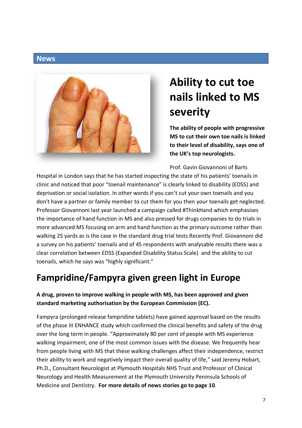

### **Ability to cut toe nails linked to MS severity**

**The ability of people with progressive MS to cut their own toe nails is linked to their level of disability, says one of the UK's top neurologists.** 

Prof. Gavin Giovannoni of Barts

Hospital in London says that he has started inspecting the state of his patients' toenails in clinic and noticed that poor "toenail maintenance" is clearly linked to disability (EDSS) and deprivation or social isolation. In other words if you can't cut your own toenails and you don't have a partner or family member to cut them for you then your toenails get neglected. Professor Giovannoni last year launched a campaign called #ThinkHand which emphasises the importance of hand function in MS and also pressed for drugs companies to do trials in more advanced MS focusing on arm and hand function as the primary outcome rather than walking 25 yards as is the case in the standard drug trial tests.Recently Prof. Giovannoni did a survey on his patients' toenails and of 45 respondents with analysable results there was a clear correlation between EDSS (Expanded Disability Status Scale) and the ability to cut toenails, which he says was "highly significant."

### **Fampridine/Fampyra given green light in Europe**

#### **A drug, proven to improve walking in people with MS, has been approved and given standard marketing authorisation by the European Commission (EC).**

Fampyra (prolonged release fampridine tablets) have gained approval based on the results of the phase III ENHANCE study which confirmed the clinical benefits and safety of the drug over the long term in people. "Approximately 80 per cent of people with MS experience walking impairment, one of the most common issues with the disease. We frequently hear from people living with MS that these walking challenges affect their independence, restrict their ability to work and negatively impact their overall quality of life," said Jeremy Hobart, Ph.D., Consultant Neurologist at Plymouth Hospitals NHS Trust and Professor of Clinical Neurology and Health Measurement at the Plymouth University Peninsula Schools of Medicine and Dentistry. **For more details of news stories go to page 10**.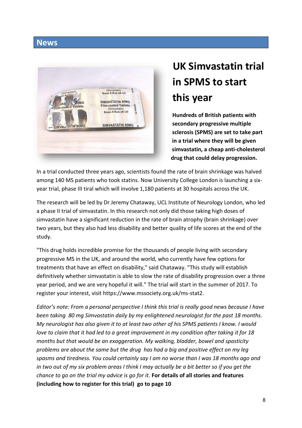

### **UK Simvastatin trial in SPMS to start this year**

**Hundreds of British patients with secondary progressive multiple sclerosis (SPMS) are set to take part in a trial where they will be given simvastatin, a cheap anti-cholesterol drug that could delay progression.**

In a trial conducted three years ago, scientists found the rate of brain shrinkage was halved among 140 MS patients who took statins. Now University College London is launching a sixyear trial, phase III tiral which will involve 1,180 patients at 30 hospitals across the UK.

The research will be led by Dr Jeremy Chataway, UCL Institute of Neurology London, who led a phase II trial of simvastatin. In this research not only did those taking high doses of simvastatin have a significant reduction in the rate of brain atrophy (brain shrinkage) over two years, but they also had less disability and better quality of life scores at the end of the study.

"This drug holds incredible promise for the thousands of people living with secondary progressive MS in the UK, and around the world, who currently have few options for treatments that have an effect on disability," said Chataway. "This study will establish definitively whether simvastatin is able to slow the rate of disability progression over a three year period, and we are very hopeful it will." The trial will start in the summer of 2017. To register your interest, visit https://www.mssociety.org.uk/ms-stat2.

*Editor's note: From a personal perspective I think this trial is really good news because I have been taking 80 mg Simvastatin daily by my enlightened neurologist for the past 18 months. My neurologist has also given it to at least two other of his SPMS patients I know. I would love to claim that it had led to a great improvement in my condition after taking it for 18 months but that would be an exaggeration. My walking, bladder, bowel and spasticity problems are about the same but the drug has had a big and positive effect on my leg spasms and tiredness. You could certainly say I am no worse than I was 18 months ago and in two out of my six problem areas I think I may actually be a bit better so if you get the chance to go on the trial my advice is go for it.* **For details of all stories and features (including how to register for this trial) go to page 10**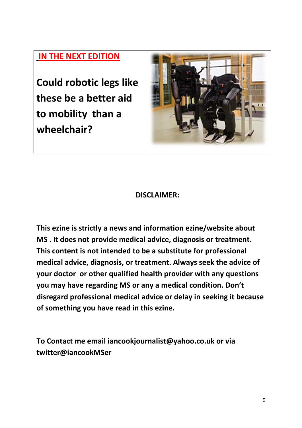#### **IN THE NEXT EDITION**

**Could robotic legs like these be a better aid to mobility than a wheelchair?**



#### **DISCLAIMER:**

**This ezine is strictly a news and information ezine/website about MS . It does not provide medical advice, diagnosis or treatment. This content is not intended to be a substitute for professional medical advice, diagnosis, or treatment. Always seek the advice of your doctor or other qualified health provider with any questions you may have regarding MS or any a medical condition. Don't disregard professional medical advice or delay in seeking it because of something you have read in this ezine.**

**To Contact me email iancookjournalist@yahoo.co.uk or via twitter@iancookMSer**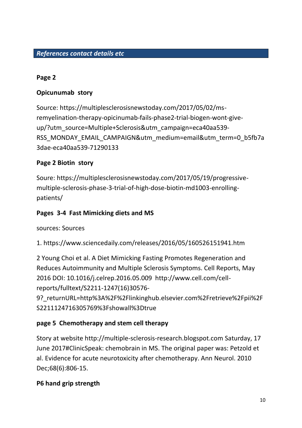#### **Page 2**

#### **Opicunumab story**

Source: https://multiplesclerosisnewstoday.com/2017/05/02/msremyelination-therapy-opicinumab-fails-phase2-trial-biogen-wont-giveup/?utm\_source=Multiple+Sclerosis&utm\_campaign=eca40aa539-RSS\_MONDAY\_EMAIL\_CAMPAIGN&utm\_medium=email&utm\_term=0\_b5fb7a 3dae-eca40aa539-71290133

#### **Page 2 Biotin story**

Soure: https://multiplesclerosisnewstoday.com/2017/05/19/progressivemultiple-sclerosis-phase-3-trial-of-high-dose-biotin-md1003-enrollingpatients/

#### **Pages 3-4 Fast Mimicking diets and MS**

sources: Sources

1. https://www.sciencedaily.com/releases/2016/05/160526151941.htm

2 Young Choi et al. A Diet Mimicking Fasting Promotes Regeneration and Reduces Autoimmunity and Multiple Sclerosis Symptoms. Cell Reports, May 2016 DOI: 10.1016/j.celrep.2016.05.009 http://www.cell.com/cellreports/fulltext/S2211-1247(16)30576-

9?\_returnURL=http%3A%2F%2Flinkinghub.elsevier.com%2Fretrieve%2Fpii%2F S2211124716305769%3Fshowall%3Dtrue

#### **page 5 Chemotherapy and stem cell therapy**

Story at website http://multiple-sclerosis-research.blogspot.com Saturday, 17 June 2017#ClinicSpeak: chemobrain in MS. The original paper was: Petzold et al. Evidence for acute neurotoxicity after chemotherapy. Ann Neurol. 2010 Dec;68(6):806-15.

#### **P6 hand grip strength**